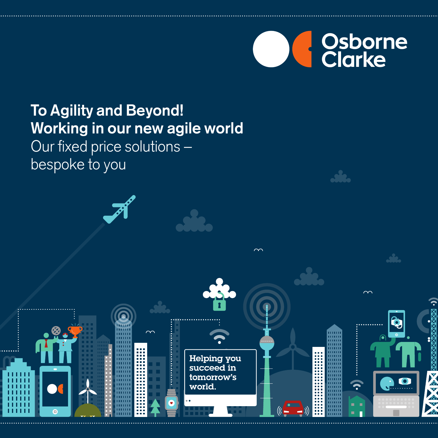

## **To Agility and Beyond! Working in our new agile world**

Helping you<br>succeed in tomorrow's world.

Our fixed price solutions – bespoke to you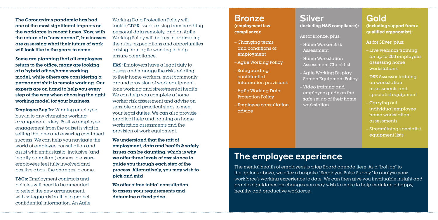The Coronavirus pandemic has had one of the most significant impacts on the workforce in recent times. Now, with the return of  $\alpha$  "new normal", businesses are assessing what their future of work will look like in the years to come.

Some are planning that all employees return to the office, many are looking at a hybrid office/home working model, while others are considering  $\alpha$ permanent shift to remote working. Our experts are on hand to help you every step of the way when choosing the right working model for your business.

Employee Buy In: Winning employee buy-in to any changing working arrangement is key. Positive employee engagement from the outset is vital in setting the tone and ensuring continued success. We can help you navigate the world of employee consultation and assist with enthusiastic, inclusive (and legally compliant) comms to ensure employees feel fully involved and positive about the changes to come.

T&Cs: Employment contracts and policies will need to be amended to reflect the new arrangement, with safeguards built in to protect confidential information. An Agile Working Data Protection Policy will tackle GDPR issues arising from handling personal data remotely, and an Agile Working Policy will be key in addressing the rules, expectations and opportunities arising from agile working to help ensure compliance.

**H&S:** Employers have a legal duty to assess and manage the risks relating to their home workers, most commonly around provision of work equipment, lone working and stress/mental health. We can help you complete a home worker risk assessment and advise on sensible and practical steps to meet your legal duties. We can also provide practical help and training on home workstation assessments and the provision of work equipment.

We understand that the raft of employment, data and health & safety issues can be daunting, which is why we offer three levels of assistance to guide you through each step of the process. Alternatively, you may wish to pick and mix!

We offer a free initial consultation to assess your requirements and determine a fixed price.

**Bronze (employment law compliance):**

- Changing terms and conditions of employment
- Agile Working Policy
- Safeguarding confidential information provisions
- Agile Working Data Protection Policy
- Employee consultation advice

## **Silver**

**(including H&S compliance):**

As for Bronze, plus:

- Home Worker Risk Assessment
- Home Workstation Assessment Checklist
- Agile Working Display Screen Equipment Policy
- Video training and employee guide on the safe set up of their home workstation

# **Gold**

**(including support from a qualified ergonomist):** 

### As for Silver, plus:

- Live webinar training for up to 200 employees assessing home workstations
- DSE Assessor training on workstation assessments and specialist equipment
- Carrying out individual employee home workstation assessments
- Streamlining specialist equipment lists

# **The employee experience**

The mental health of employees is a top Board agenda item. As a "bolt on" to the options above, we offer a bespoke "Employee Pulse Survey" to analyse your workforce's working experience to date. We can then give you invaluable insight and practical guidance on changes you may wish to make to help maintain a happy, healthy and productive workforce.